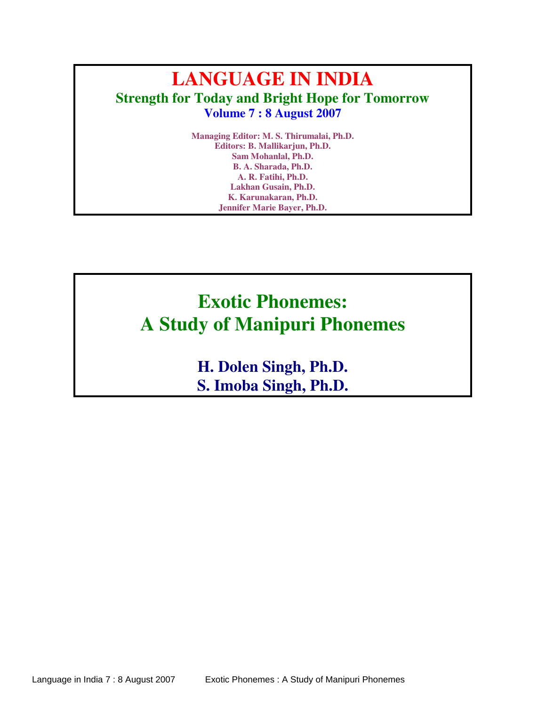## **LANGUAGE IN INDIA Strength for Today and Bright Hope for Tomorrow Volume 7 : 8 August 2007**

**Managing Editor: M. S. Thirumalai, Ph.D. Editors: B. Mallikarjun, Ph.D. Sam Mohanlal, Ph.D. B. A. Sharada, Ph.D. A. R. Fatihi, Ph.D. Lakhan Gusain, Ph.D. K. Karunakaran, Ph.D. Jennifer Marie Bayer, Ph.D.**

# **Exotic Phonemes: A Study of Manipuri Phonemes**

**H. Dolen Singh, Ph.D. S. Imoba Singh, Ph.D.**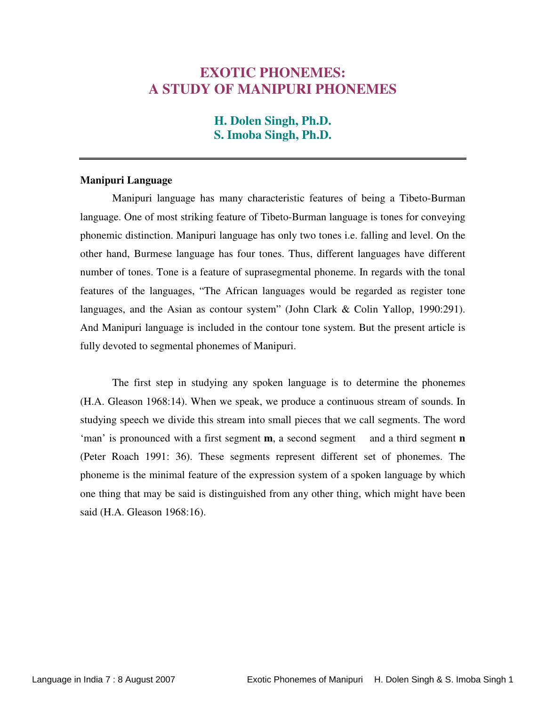### **EXOTIC PHONEMES: A STUDY OF MANIPURI PHONEMES**

#### **H. Dolen Singh, Ph.D. S. Imoba Singh, Ph.D.**

#### **Manipuri Language**

Manipuri language has many characteristic features of being a Tibeto-Burman language. One of most striking feature of Tibeto-Burman language is tones for conveying phonemic distinction. Manipuri language has only two tones i.e. falling and level. On the other hand, Burmese language has four tones. Thus, different languages have different number of tones. Tone is a feature of suprasegmental phoneme. In regards with the tonal features of the languages, "The African languages would be regarded as register tone languages, and the Asian as contour system" (John Clark & Colin Yallop, 1990:291). And Manipuri language is included in the contour tone system. But the present article is fully devoted to segmental phonemes of Manipuri.

The first step in studying any spoken language is to determine the phonemes (H.A. Gleason 1968:14). When we speak, we produce a continuous stream of sounds. In studying speech we divide this stream into small pieces that we call segments. The word 'man' is pronounced with a first segment **m**, a second segment and a third segment **n** (Peter Roach 1991: 36). These segments represent different set of phonemes. The phoneme is the minimal feature of the expression system of a spoken language by which one thing that may be said is distinguished from any other thing, which might have been said (H.A. Gleason 1968:16).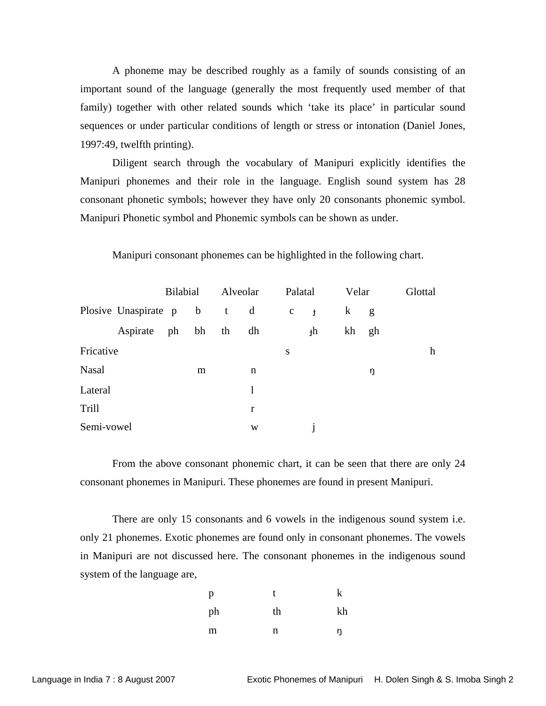A phoneme may be described roughly as a family of sounds consisting of an important sound of the language (generally the most frequently used member of that family) together with other related sounds which 'take its place' in particular sound sequences or under particular conditions of length or stress or intonation (Daniel Jones, 1997:49, twelfth printing).

Diligent search through the vocabulary of Manipuri explicitly identifies the Manipuri phonemes and their role in the language. English sound system has 28 consonant phonetic symbols; however they have only 20 consonants phonemic symbol. Manipuri Phonetic symbol and Phonemic symbols can be shown as under.

|              |                            | <b>Bilabial</b> |       | Alveolar |    | Palatal     |              | Velar   |    | Glottal |
|--------------|----------------------------|-----------------|-------|----------|----|-------------|--------------|---------|----|---------|
|              | Plosive Unaspirate p b t d |                 |       |          |    | $\mathbf c$ | $\mathbf{t}$ | $\bf k$ | g  |         |
|              | Aspirate                   |                 | ph bh | th       | dh |             | ţh           | kh      | gh |         |
| Fricative    |                            |                 |       |          |    | S           |              |         |    | h       |
| <b>Nasal</b> |                            |                 | m     |          | n  |             |              |         | ŋ  |         |
| Lateral      |                            |                 |       |          | 1  |             |              |         |    |         |
| Trill        |                            |                 |       |          | r  |             |              |         |    |         |
| Semi-vowel   |                            |                 |       |          | W  |             |              |         |    |         |

Manipuri consonant phonemes can be highlighted in the following chart.

From the above consonant phonemic chart, it can be seen that there are only 24 consonant phonemes in Manipuri. These phonemes are found in present Manipuri.

 There are only 15 consonants and 6 vowels in the indigenous sound system i.e. only 21 phonemes. Exotic phonemes are found only in consonant phonemes. The vowels in Manipuri are not discussed here. The consonant phonemes in the indigenous sound system of the language are,

| p  |    |    |
|----|----|----|
| ph | th | kh |
| m  | n  |    |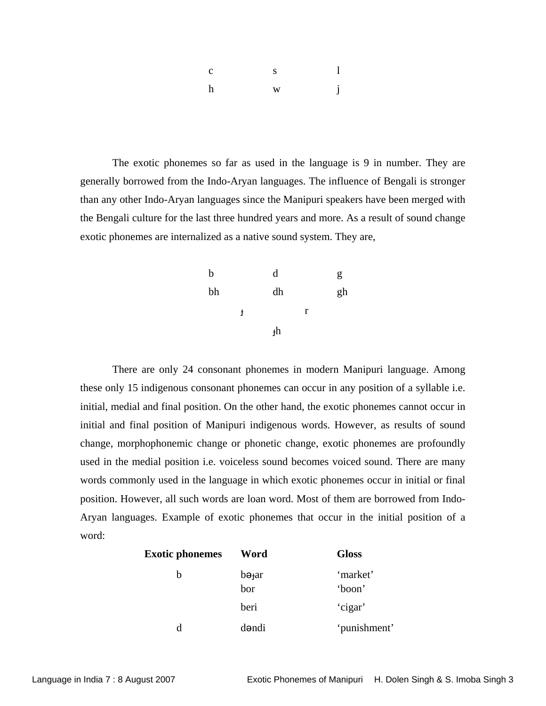| $\mathbf{s}$<br>$\mathbf{C}$ |   |              |
|------------------------------|---|--------------|
| h                            | W | $\mathbf{i}$ |

 The exotic phonemes so far as used in the language is 9 in number. They are generally borrowed from the Indo-Aryan languages. The influence of Bengali is stronger than any other Indo-Aryan languages since the Manipuri speakers have been merged with the Bengali culture for the last three hundred years and more. As a result of sound change exotic phonemes are internalized as a native sound system. They are,

| b  |   | d           |   | g  |
|----|---|-------------|---|----|
| bh |   | dh          |   | gh |
|    | ł |             | r |    |
|    |   | $_{\rm th}$ |   |    |

 There are only 24 consonant phonemes in modern Manipuri language. Among these only 15 indigenous consonant phonemes can occur in any position of a syllable i.e. initial, medial and final position. On the other hand, the exotic phonemes cannot occur in initial and final position of Manipuri indigenous words. However, as results of sound change, morphophonemic change or phonetic change, exotic phonemes are profoundly used in the medial position i.e. voiceless sound becomes voiced sound. There are many words commonly used in the language in which exotic phonemes occur in initial or final position. However, all such words are loan word. Most of them are borrowed from Indo-Aryan languages. Example of exotic phonemes that occur in the initial position of a word:

| <b>Exotic phonemes</b> | Word                      | <b>Gloss</b>       |
|------------------------|---------------------------|--------------------|
| b                      | bə <sub>t</sub> ar<br>bor | 'market'<br>'boon' |
|                        | beri                      | 'cigar'            |
| d                      | dəndi                     | 'punishment'       |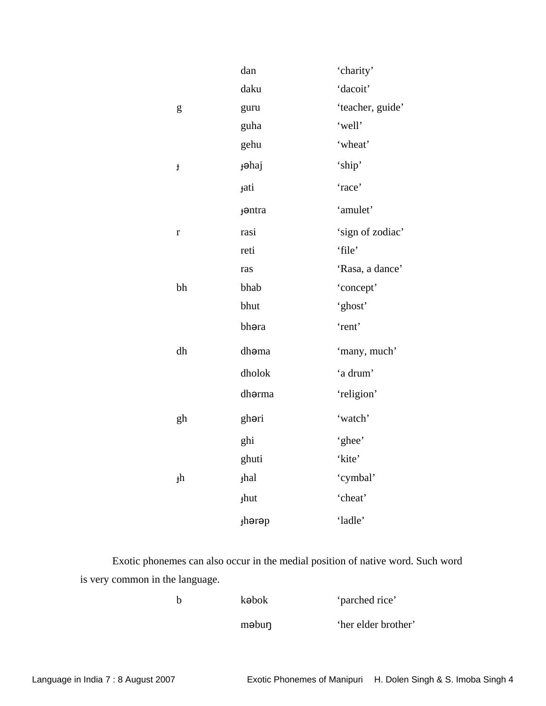|                                                                                                                                                                                                                                                                                                                                                                                                                                | dan             | 'charity'        |
|--------------------------------------------------------------------------------------------------------------------------------------------------------------------------------------------------------------------------------------------------------------------------------------------------------------------------------------------------------------------------------------------------------------------------------|-----------------|------------------|
|                                                                                                                                                                                                                                                                                                                                                                                                                                | daku            | 'dacoit'         |
| $\mathbf{g}% _{T}=\mathbf{g}_{T}=\mathbf{g}_{T}=\mathbf{g}_{T}=\mathbf{g}_{T}=\mathbf{g}_{T}=\mathbf{g}_{T}=\mathbf{g}_{T}=\mathbf{g}_{T}=\mathbf{g}_{T}=\mathbf{g}_{T}=\mathbf{g}_{T}=\mathbf{g}_{T}=\mathbf{g}_{T}=\mathbf{g}_{T}=\mathbf{g}_{T}=\mathbf{g}_{T}=\mathbf{g}_{T}=\mathbf{g}_{T}=\mathbf{g}_{T}=\mathbf{g}_{T}=\mathbf{g}_{T}=\mathbf{g}_{T}=\mathbf{g}_{T}=\mathbf{g}_{T}=\mathbf{g}_{T}=\mathbf{g}_{T}=\math$ | guru            | 'teacher, guide' |
|                                                                                                                                                                                                                                                                                                                                                                                                                                | guha            | 'well'           |
|                                                                                                                                                                                                                                                                                                                                                                                                                                | gehu            | 'wheat'          |
| $\pmb{\ddagger}$                                                                                                                                                                                                                                                                                                                                                                                                               | <b>j</b> əhaj   | 'ship'           |
|                                                                                                                                                                                                                                                                                                                                                                                                                                | <b>tati</b>     | 'race'           |
|                                                                                                                                                                                                                                                                                                                                                                                                                                | <b>f</b> ontra  | 'amulet'         |
| $\mathbf{r}$                                                                                                                                                                                                                                                                                                                                                                                                                   | rasi            | 'sign of zodiac' |
|                                                                                                                                                                                                                                                                                                                                                                                                                                | reti            | 'file'           |
|                                                                                                                                                                                                                                                                                                                                                                                                                                | ras             | 'Rasa, a dance'  |
| bh                                                                                                                                                                                                                                                                                                                                                                                                                             | bhab            | 'concept'        |
|                                                                                                                                                                                                                                                                                                                                                                                                                                | bhut            | 'ghost'          |
|                                                                                                                                                                                                                                                                                                                                                                                                                                | bhəra           | 'rent'           |
| dh                                                                                                                                                                                                                                                                                                                                                                                                                             | dhoma           | 'many, much'     |
|                                                                                                                                                                                                                                                                                                                                                                                                                                | dholok          | 'a drum'         |
|                                                                                                                                                                                                                                                                                                                                                                                                                                | dhorma          | 'religion'       |
| gh                                                                                                                                                                                                                                                                                                                                                                                                                             | ghori           | 'watch'          |
|                                                                                                                                                                                                                                                                                                                                                                                                                                | ghi             | 'ghee'           |
|                                                                                                                                                                                                                                                                                                                                                                                                                                | ghuti           | 'kite'           |
| $\ensuremath{\mathsf{H}}$                                                                                                                                                                                                                                                                                                                                                                                                      | <sub>thal</sub> | 'cymbal'         |
|                                                                                                                                                                                                                                                                                                                                                                                                                                | <b>thut</b>     | 'cheat'          |
|                                                                                                                                                                                                                                                                                                                                                                                                                                | thərəp          | 'ladle'          |

Exotic phonemes can also occur in the medial position of native word. Such word is very common in the language.

|  | kəbok | 'parched rice'      |
|--|-------|---------------------|
|  | məbun | 'her elder brother' |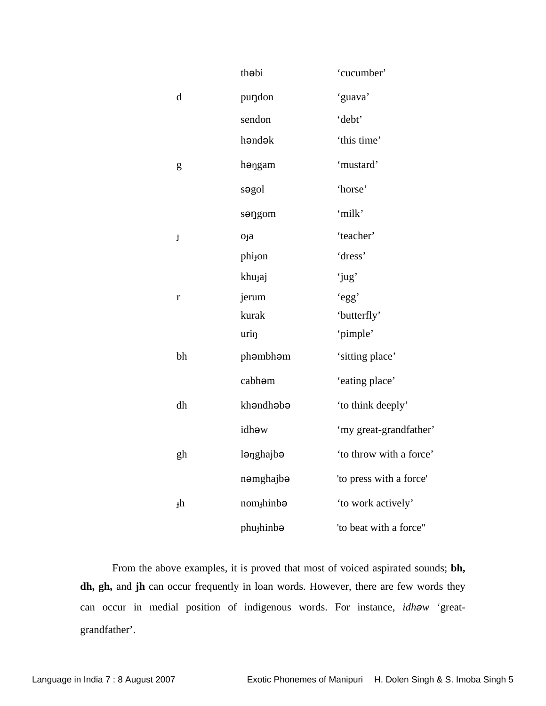|             | thobi                  | 'cucumber'              |
|-------------|------------------------|-------------------------|
| $\mathbf d$ | puŋdon                 | 'guava'                 |
|             | sendon                 | 'debt'                  |
|             | həndək                 | 'this time'             |
| ${\sf g}$   | həngam                 | 'mustard'               |
|             | sogol                  | 'horse'                 |
|             | songom                 | 'milk'                  |
| ł           | o <sub>ta</sub>        | 'teacher'               |
|             | phi <sub>jon</sub>     | 'dress'                 |
|             | khu <sub>j</sub> aj    | 'jug'                   |
| $\bf r$     | jerum                  | 'egg'                   |
|             | kurak                  | 'butterfly'             |
|             | urin                   | 'pimple'                |
| bh          | phəmbhəm               | 'sitting place'         |
|             | cabhom                 | 'eating place'          |
| dh          | khandhaba              | 'to think deeply'       |
|             | idhəw                  | 'my great-grandfather'  |
| gh          | lənghajbə              | 'to throw with a force' |
|             | nəmghajbə              | 'to press with a force' |
| $_{\rm th}$ | nom <sub>j</sub> hinba | 'to work actively'      |
|             | phu <sub>j</sub> hinba | 'to beat with a force"  |

 From the above examples, it is proved that most of voiced aspirated sounds; **bh, dh, gh,** and **jh** can occur frequently in loan words. However, there are few words they can occur in medial position of indigenous words. For instance, *idhw* 'greatgrandfather'.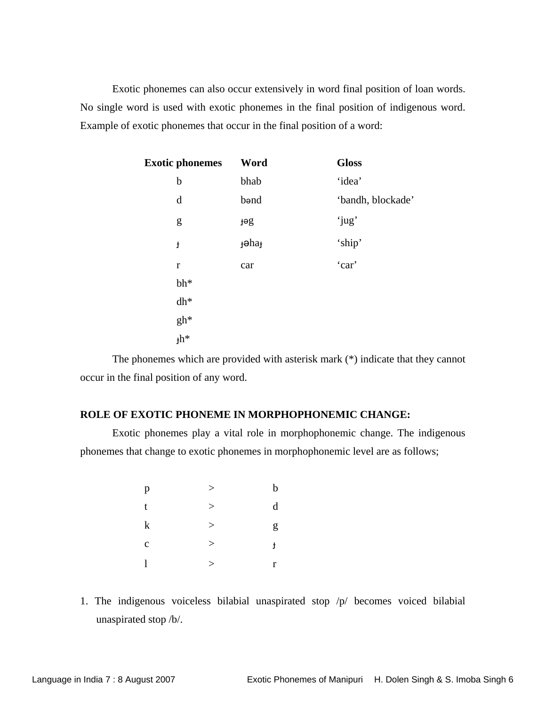Exotic phonemes can also occur extensively in word final position of loan words. No single word is used with exotic phonemes in the final position of indigenous word. Example of exotic phonemes that occur in the final position of a word:

| <b>Exotic phonemes</b> | Word          | <b>Gloss</b>      |
|------------------------|---------------|-------------------|
| $\mathbf b$            | bhab          | 'idea'            |
| d                      | bond          | 'bandh, blockade' |
| g                      | get           | 'jug'             |
| $\pmb{\downarrow}$     | <b>j</b> əhaj | 'ship'            |
| $\mathbf r$            | car           | 'car'             |
| $bh*$                  |               |                   |
| $dh^*$                 |               |                   |
| gh*                    |               |                   |
| $_{\rm th*}$           |               |                   |

 The phonemes which are provided with asterisk mark (\*) indicate that they cannot occur in the final position of any word.

#### **ROLE OF EXOTIC PHONEME IN MORPHOPHONEMIC CHANGE:**

Exotic phonemes play a vital role in morphophonemic change. The indigenous phonemes that change to exotic phonemes in morphophonemic level are as follows;

| $\mathbf{p}$ | >     | b           |
|--------------|-------|-------------|
| $\mathbf{t}$ | >     | $\mathbf d$ |
| $\bf k$      | >     | g           |
| $\mathbf c$  | $\,>$ | ł           |
| $\mathbf{l}$ | >     | r           |

1. The indigenous voiceless bilabial unaspirated stop /p/ becomes voiced bilabial unaspirated stop /b/.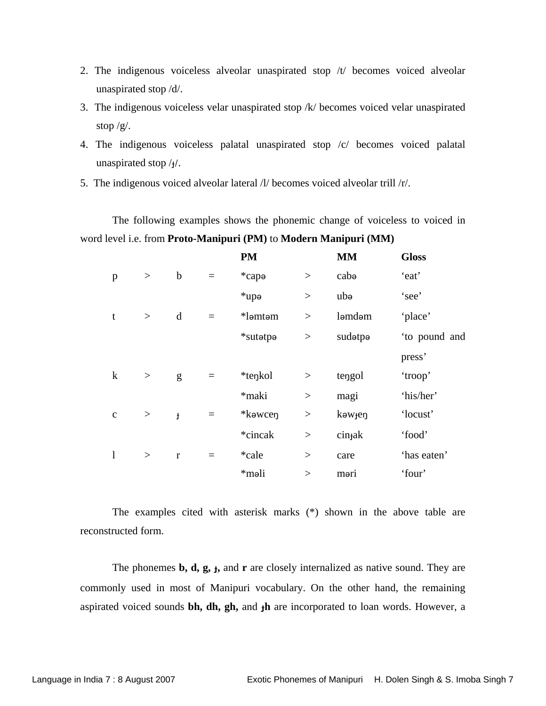- 2. The indigenous voiceless alveolar unaspirated stop /t/ becomes voiced alveolar unaspirated stop /d/.
- 3. The indigenous voiceless velar unaspirated stop /k/ becomes voiced velar unaspirated stop  $/g/$ .
- 4. The indigenous voiceless palatal unaspirated stop /c/ becomes voiced palatal unaspirated stop  $/<sub>1</sub>/$ .
- 5. The indigenous voiced alveolar lateral /l/ becomes voiced alveolar trill /r/.

The following examples shows the phonemic change of voiceless to voiced in word level i.e. from **Proto-Manipuri (PM)** to **Modern Manipuri (MM)**

|             |          |              |     | <b>PM</b>         |        | <b>MM</b>           | <b>Gloss</b>  |
|-------------|----------|--------------|-----|-------------------|--------|---------------------|---------------|
| p           | $\,>$    | $\mathbf b$  | $=$ | *cap <sub>a</sub> | $\geq$ | cabo                | 'eat'         |
|             |          |              |     | $*$ upə           | $\,>$  | ubə                 | 'see'         |
| t           | $\,>$    | d            | $=$ | *ləmtəm           | >      | ləmdəm              | 'place'       |
|             |          |              |     | *sutatpa          | >      | sudetpe             | 'to pound and |
|             |          |              |     |                   |        |                     | press'        |
| $\bf k$     | $\rm{>}$ | g            | $=$ | *tenkol           | >      | tengol              | 'troop'       |
|             |          |              |     | *maki             | $\geq$ | magi                | 'his/her'     |
| $\mathbf c$ | $\,>$    | $\mathbf{f}$ | $=$ | *kawcen           | $\geq$ | kəw <sub>jen</sub>  | 'locust'      |
|             |          |              |     | *cincak           | $\geq$ | cin <sub>t</sub> ak | 'food'        |
| l           | >        | $\mathbf{r}$ | $=$ | *cale             | >      | care                | 'has eaten'   |
|             |          |              |     | *məli             | >      | məri                | 'four'        |

The examples cited with asterisk marks (\*) shown in the above table are reconstructed form.

The phonemes **b, d, g, ,** and **r** are closely internalized as native sound. They are commonly used in most of Manipuri vocabulary. On the other hand, the remaining aspirated voiced sounds **bh, dh, gh,** and **h** are incorporated to loan words. However, a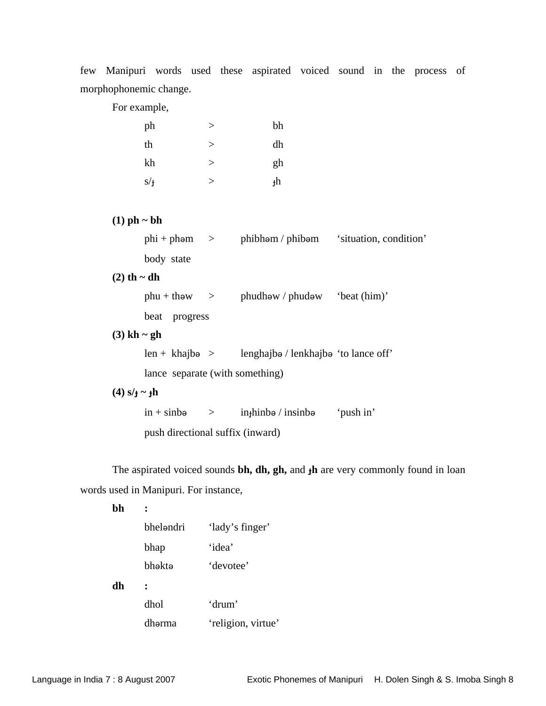few Manipuri words used these aspirated voiced sound in the process of morphophonemic change.

For example,

| ph  |          | bh |
|-----|----------|----|
| th  | $\rm{>}$ | dh |
| kh  | $\rm{>}$ | gh |
| s/f |          | յհ |

#### **(1) ph ~ bh**

|                    |                                  |  | $phi + phem$ > $phibham / phibem$ 'situation, condition'             |  |  |  |  |
|--------------------|----------------------------------|--|----------------------------------------------------------------------|--|--|--|--|
|                    | body state                       |  |                                                                      |  |  |  |  |
| $(2)$ th ~ dh      |                                  |  |                                                                      |  |  |  |  |
|                    |                                  |  | $phu + thew$ > $phudhew / phudew$ 'beat (him)'                       |  |  |  |  |
|                    | beat progress                    |  |                                                                      |  |  |  |  |
| $(3)$ kh ~ gh      |                                  |  |                                                                      |  |  |  |  |
|                    |                                  |  | $len + khaj$ bə > lenghajbə / lenkhajbə 'to lance off'               |  |  |  |  |
|                    | lance separate (with something)  |  |                                                                      |  |  |  |  |
| $(4) s/t \sim f h$ |                                  |  |                                                                      |  |  |  |  |
|                    | $\sin + \sinb\theta$ >           |  | $\infty$ in $\infty$ in $\infty$ in $\infty$ in $\infty$ in $\infty$ |  |  |  |  |
|                    | push directional suffix (inward) |  |                                                                      |  |  |  |  |

The aspirated voiced sounds **bh, dh, gh,** and  $\textbf{h}$  are very commonly found in loan words used in Manipuri. For instance,

**bh :** 

|    | bheləndri | 'lady's finger'    |
|----|-----------|--------------------|
|    | bhap      | 'idea'             |
|    | bhəktə    | 'devotee'          |
| dh |           |                    |
|    | dhol      | 'drum'             |
|    | dhərma    | 'religion, virtue' |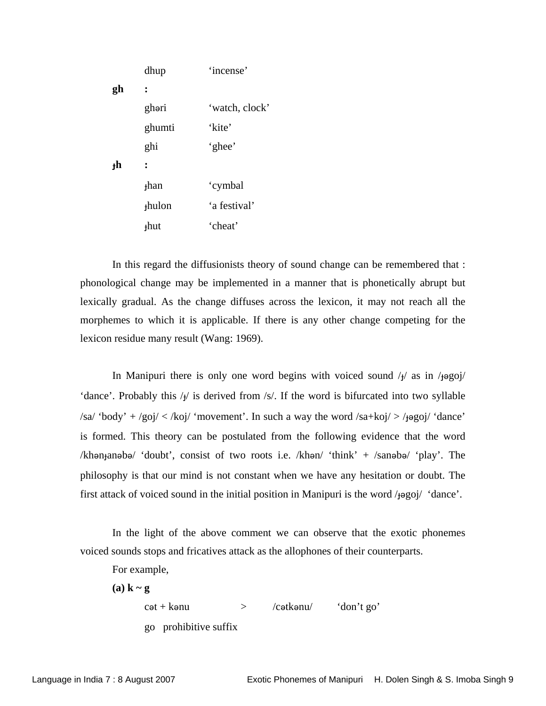|                | dhup              | 'incense'      |
|----------------|-------------------|----------------|
| gh             |                   |                |
|                | ghəri             | 'watch, clock' |
|                | ghumti            | 'kite'         |
|                | ghi               | 'ghee'         |
| <sup>+</sup> h | :                 |                |
|                | $+$ han           | 'cymbal        |
|                | <sub>thulon</sub> | 'a festival'   |
|                | $+$ hut           | 'cheat'        |
|                |                   |                |

In this regard the diffusionists theory of sound change can be remembered that : phonological change may be implemented in a manner that is phonetically abrupt but lexically gradual. As the change diffuses across the lexicon, it may not reach all the morphemes to which it is applicable. If there is any other change competing for the lexicon residue many result (Wang: 1969).

In Manipuri there is only one word begins with voiced sound  $/y$  as in  $/y$ 'dance'. Probably this  $/y$  is derived from  $/s$ . If the word is bifurcated into two syllable /sa/ 'body' + /goj/ < /koj/ 'movement'. In such a way the word /sa+koj/ > / $\frac{1}{2}$  /goj/ 'dance' is formed. This theory can be postulated from the following evidence that the word /khon panebo/ 'doubt', consist of two roots i.e. /khon/ 'think' + /sanobo/ 'play'. The philosophy is that our mind is not constant when we have any hesitation or doubt. The first attack of voiced sound in the initial position in Manipuri is the word  $/1990j/$  'dance'.

In the light of the above comment we can observe that the exotic phonemes voiced sounds stops and fricatives attack as the allophones of their counterparts.

For example,

**(a) k ~ g**   $\cot + k$  anu  $>$  /c atkanu/  $\cot^2 k$  don't go' go prohibitive suffix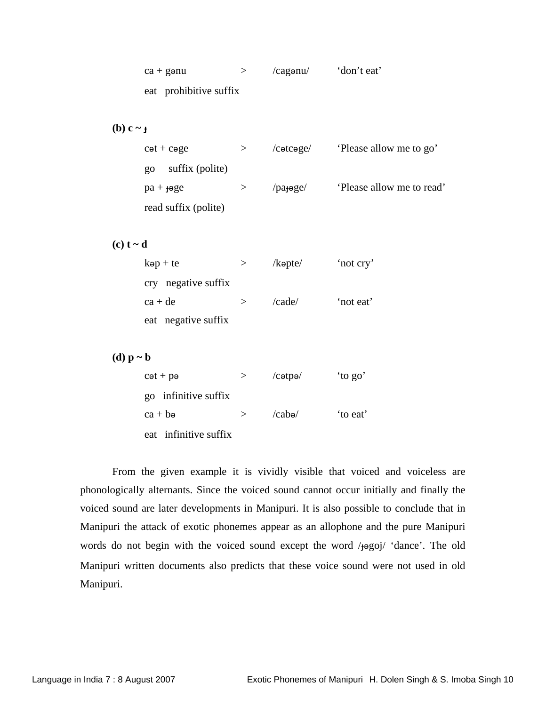| $ca +$ ganu            | /cagenu/ | 'don't eat' |
|------------------------|----------|-------------|
| eat prohibitive suffix |          |             |

(b)  $c \sim_f$ 

| $c$ ət + $c$ əge           | $/$ cətcəge $/$       | 'Please allow me to go'   |
|----------------------------|-----------------------|---------------------------|
| suffix (polite)<br>$_{80}$ |                       |                           |
| $pa + \theta ge$           | /pa <sub>t</sub> oge/ | 'Please allow me to read' |
| read suffix (polite)       |                       |                           |

 $(c) t - d$ 

|           | $kep + te$          |        | $\lambda$ kəpte $\lambda$ | 'not cry' |
|-----------|---------------------|--------|---------------------------|-----------|
|           | cry negative suffix |        |                           |           |
| $ca + de$ |                     | $\geq$ | $\alpha$ de $\alpha$      | 'not eat' |
|           | eat negative suffix |        |                           |           |

**(d) p ~ b** 

| $c \cdot t + p \cdot e$ | >             | $/c$ ətpə $/$     | 'to go' |
|-------------------------|---------------|-------------------|---------|
| go infinitive suffix    |               |                   |         |
| $ca + ba$               | $\rightarrow$ | $\binom{caba}{c}$ | to eat' |
| eat infinitive suffix   |               |                   |         |

From the given example it is vividly visible that voiced and voiceless are phonologically alternants. Since the voiced sound cannot occur initially and finally the voiced sound are later developments in Manipuri. It is also possible to conclude that in Manipuri the attack of exotic phonemes appear as an allophone and the pure Manipuri words do not begin with the voiced sound except the word /jogoj/ 'dance'. The old Manipuri written documents also predicts that these voice sound were not used in old Manipuri.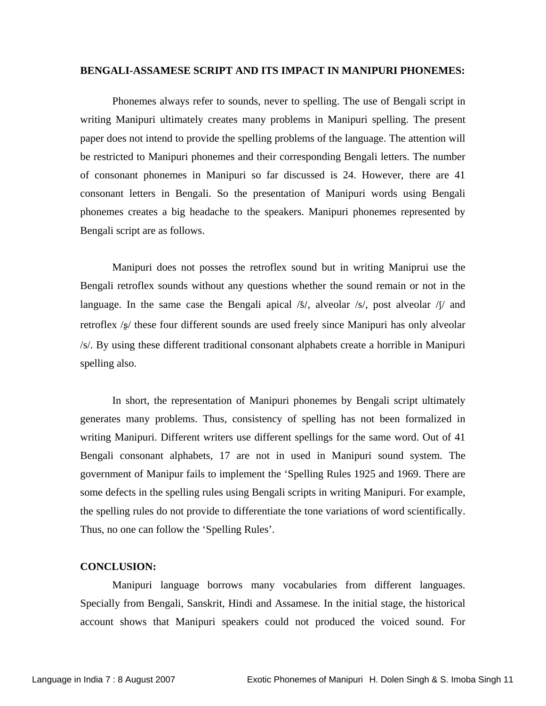#### **BENGALI-ASSAMESE SCRIPT AND ITS IMPACT IN MANIPURI PHONEMES:**

Phonemes always refer to sounds, never to spelling. The use of Bengali script in writing Manipuri ultimately creates many problems in Manipuri spelling. The present paper does not intend to provide the spelling problems of the language. The attention will be restricted to Manipuri phonemes and their corresponding Bengali letters. The number of consonant phonemes in Manipuri so far discussed is 24. However, there are 41 consonant letters in Bengali. So the presentation of Manipuri words using Bengali phonemes creates a big headache to the speakers. Manipuri phonemes represented by Bengali script are as follows.

Manipuri does not posses the retroflex sound but in writing Maniprui use the Bengali retroflex sounds without any questions whether the sound remain or not in the language. In the same case the Bengali apical  $\frac{\delta}{s}$ , alveolar  $\frac{\delta}{s}$ , post alveolar  $\frac{\delta}{s}$  and retroflex /s/ these four different sounds are used freely since Manipuri has only alveolar /s/. By using these different traditional consonant alphabets create a horrible in Manipuri spelling also.

In short, the representation of Manipuri phonemes by Bengali script ultimately generates many problems. Thus, consistency of spelling has not been formalized in writing Manipuri. Different writers use different spellings for the same word. Out of 41 Bengali consonant alphabets, 17 are not in used in Manipuri sound system. The government of Manipur fails to implement the 'Spelling Rules 1925 and 1969. There are some defects in the spelling rules using Bengali scripts in writing Manipuri. For example, the spelling rules do not provide to differentiate the tone variations of word scientifically. Thus, no one can follow the 'Spelling Rules'.

#### **CONCLUSION:**

Manipuri language borrows many vocabularies from different languages. Specially from Bengali, Sanskrit, Hindi and Assamese. In the initial stage, the historical account shows that Manipuri speakers could not produced the voiced sound. For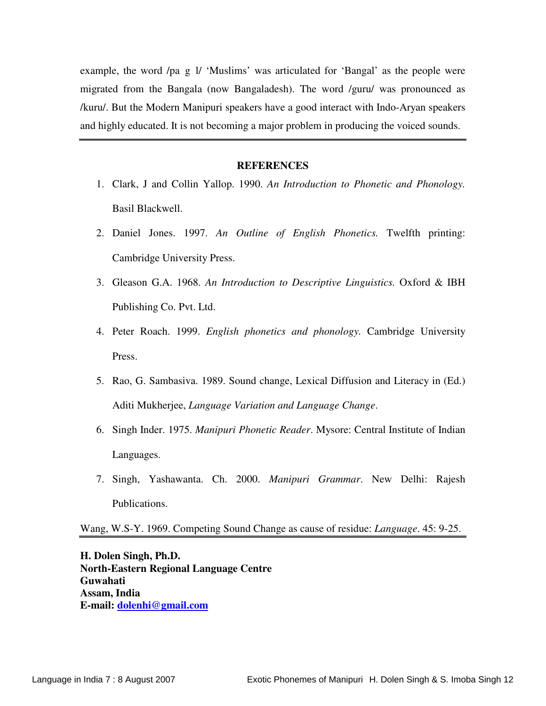example, the word /pa g l/ 'Muslims' was articulated for 'Bangal' as the people were migrated from the Bangala (now Bangaladesh). The word /guru/ was pronounced as /kuru/. But the Modern Manipuri speakers have a good interact with Indo-Aryan speakers and highly educated. It is not becoming a major problem in producing the voiced sounds.

#### **REFERENCES**

- 1. Clark, J and Collin Yallop. 1990. *An Introduction to Phonetic and Phonology.* Basil Blackwell.
- 2. Daniel Jones. 1997. *An Outline of English Phonetics.* Twelfth printing: Cambridge University Press.
- 3. Gleason G.A. 1968. *An Introduction to Descriptive Linguistics.* Oxford & IBH Publishing Co. Pvt. Ltd.
- 4. Peter Roach. 1999. *English phonetics and phonology.* Cambridge University Press.
- 5. Rao, G. Sambasiva. 1989. Sound change, Lexical Diffusion and Literacy in (Ed.) Aditi Mukherjee, *Language Variation and Language Change*.
- 6. Singh Inder. 1975. *Manipuri Phonetic Reader*. Mysore: Central Institute of Indian Languages.
- 7. Singh, Yashawanta. Ch. 2000. *Manipuri Grammar*. New Delhi: Rajesh Publications.

Wang, W.S-Y. 1969. Competing Sound Change as cause of residue: *Language*. 45: 9-25.

**H. Dolen Singh, Ph.D. North-Eastern Regional Language Centre Guwahati Assam, India E-mail: dolenhi@gmail.com**